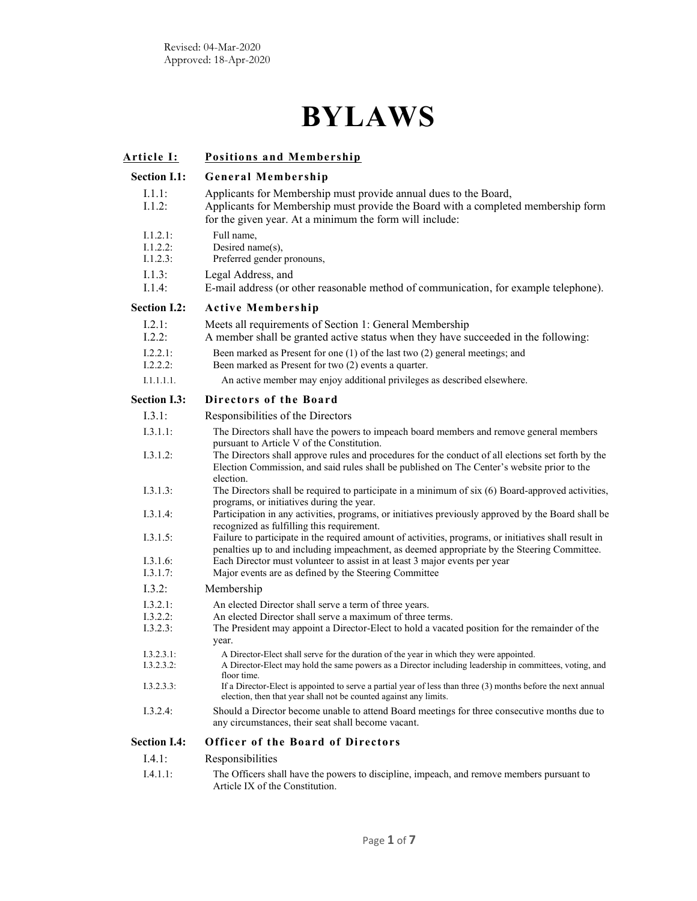## **BYLAWS**

| <u> Article I:</u>               | <b>Positions and Membership</b>                                                                                                                                                                                                                              |
|----------------------------------|--------------------------------------------------------------------------------------------------------------------------------------------------------------------------------------------------------------------------------------------------------------|
| <b>Section I.1:</b>              | <b>General Membership</b>                                                                                                                                                                                                                                    |
| 1.1.1:<br>I.1.2:                 | Applicants for Membership must provide annual dues to the Board,<br>Applicants for Membership must provide the Board with a completed membership form<br>for the given year. At a minimum the form will include:                                             |
| I.1.2.1:<br>I.1.2.2:<br>I.1.2.3: | Full name,<br>Desired name(s),<br>Preferred gender pronouns,                                                                                                                                                                                                 |
| I.1.3:<br>I.1.4:                 | Legal Address, and<br>E-mail address (or other reasonable method of communication, for example telephone).                                                                                                                                                   |
| <b>Section I.2:</b>              | <b>Active Membership</b>                                                                                                                                                                                                                                     |
| I.2.1:<br>I.2.2:<br>1.2.2.1:     | Meets all requirements of Section 1: General Membership<br>A member shall be granted active status when they have succeeded in the following:<br>Been marked as Present for one (1) of the last two (2) general meetings; and                                |
| I.2.2.2:                         | Been marked as Present for two (2) events a quarter.                                                                                                                                                                                                         |
| I.1.1.1.1.                       | An active member may enjoy additional privileges as described elsewhere.                                                                                                                                                                                     |
| <b>Section I.3:</b>              | Directors of the Board                                                                                                                                                                                                                                       |
| I.3.1:                           | Responsibilities of the Directors                                                                                                                                                                                                                            |
| I.3.1.1:                         | The Directors shall have the powers to impeach board members and remove general members                                                                                                                                                                      |
| I.3.1.2:                         | pursuant to Article V of the Constitution.<br>The Directors shall approve rules and procedures for the conduct of all elections set forth by the<br>Election Commission, and said rules shall be published on The Center's website prior to the<br>election. |
| 1.3.1.3:                         | The Directors shall be required to participate in a minimum of six (6) Board-approved activities,<br>programs, or initiatives during the year.                                                                                                               |
| I.3.1.4:                         | Participation in any activities, programs, or initiatives previously approved by the Board shall be<br>recognized as fulfilling this requirement.                                                                                                            |
| 1.3.1.5:                         | Failure to participate in the required amount of activities, programs, or initiatives shall result in<br>penalties up to and including impeachment, as deemed appropriate by the Steering Committee.                                                         |
| I.3.1.6:                         | Each Director must volunteer to assist in at least 3 major events per year                                                                                                                                                                                   |
| 1.3.1.7:                         | Major events are as defined by the Steering Committee                                                                                                                                                                                                        |
| I.3.2:                           | Membership                                                                                                                                                                                                                                                   |
| I.3.2.1:<br>I.3.2.2:             | An elected Director shall serve a term of three years.<br>An elected Director shall serve a maximum of three terms.                                                                                                                                          |
| I.3.2.3:                         | The President may appoint a Director-Elect to hold a vacated position for the remainder of the<br>year.                                                                                                                                                      |
| I.3.2.3.1:<br>I.3.2.3.2:         | A Director-Elect shall serve for the duration of the year in which they were appointed.<br>A Director-Elect may hold the same powers as a Director including leadership in committees, voting, and<br>floor time.                                            |
| I.3.2.3.3:                       | If a Director-Elect is appointed to serve a partial year of less than three (3) months before the next annual<br>election, then that year shall not be counted against any limits.                                                                           |
| I.3.2.4:                         | Should a Director become unable to attend Board meetings for three consecutive months due to<br>any circumstances, their seat shall become vacant.                                                                                                           |
| <b>Section I.4:</b>              | Officer of the Board of Directors                                                                                                                                                                                                                            |
| I.4.1:                           | Responsibilities                                                                                                                                                                                                                                             |
| I.4.1.1:                         | The Officers shall have the powers to discipline, impeach, and remove members pursuant to<br>Article IX of the Constitution.                                                                                                                                 |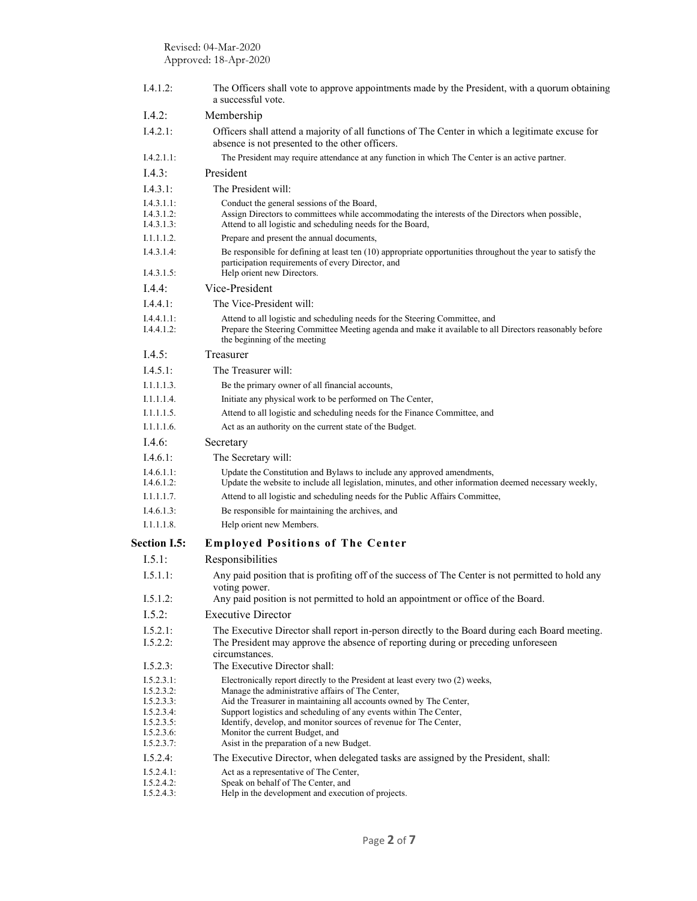| I.4.1.2:                                                                                       | The Officers shall vote to approve appointments made by the President, with a quorum obtaining<br>a successful vote.                                                                                                                                                                                                                                                                                                              |
|------------------------------------------------------------------------------------------------|-----------------------------------------------------------------------------------------------------------------------------------------------------------------------------------------------------------------------------------------------------------------------------------------------------------------------------------------------------------------------------------------------------------------------------------|
| I.4.2:                                                                                         | Membership                                                                                                                                                                                                                                                                                                                                                                                                                        |
| I.4.2.1:                                                                                       | Officers shall attend a majority of all functions of The Center in which a legitimate excuse for<br>absence is not presented to the other officers.                                                                                                                                                                                                                                                                               |
| I.4.2.1.1:                                                                                     | The President may require attendance at any function in which The Center is an active partner.                                                                                                                                                                                                                                                                                                                                    |
| I.4.3:                                                                                         | President                                                                                                                                                                                                                                                                                                                                                                                                                         |
| I.4.3.1:                                                                                       | The President will:                                                                                                                                                                                                                                                                                                                                                                                                               |
| I.4.3.1.1:<br>I.4.3.1.2:<br>I.4.3.1.3:                                                         | Conduct the general sessions of the Board,<br>Assign Directors to committees while accommodating the interests of the Directors when possible,<br>Attend to all logistic and scheduling needs for the Board,                                                                                                                                                                                                                      |
| I.1.1.1.2.                                                                                     | Prepare and present the annual documents,                                                                                                                                                                                                                                                                                                                                                                                         |
| I.4.3.1.4:<br>I.4.3.1.5:                                                                       | Be responsible for defining at least ten $(10)$ appropriate opportunities throughout the year to satisfy the<br>participation requirements of every Director, and<br>Help orient new Directors.                                                                                                                                                                                                                                   |
| I.4.4:                                                                                         | Vice-President                                                                                                                                                                                                                                                                                                                                                                                                                    |
| I.4.4.1:                                                                                       | The Vice-President will:                                                                                                                                                                                                                                                                                                                                                                                                          |
| I.4.4.1.1:<br>I.4.4.1.2:                                                                       | Attend to all logistic and scheduling needs for the Steering Committee, and<br>Prepare the Steering Committee Meeting agenda and make it available to all Directors reasonably before<br>the beginning of the meeting                                                                                                                                                                                                             |
| I.4.5:                                                                                         | Treasurer                                                                                                                                                                                                                                                                                                                                                                                                                         |
| I.4.5.1:                                                                                       | The Treasurer will:                                                                                                                                                                                                                                                                                                                                                                                                               |
| I.1.1.1.3.                                                                                     | Be the primary owner of all financial accounts,                                                                                                                                                                                                                                                                                                                                                                                   |
| I.1.1.1.4.                                                                                     | Initiate any physical work to be performed on The Center,                                                                                                                                                                                                                                                                                                                                                                         |
| I.1.1.1.5.                                                                                     | Attend to all logistic and scheduling needs for the Finance Committee, and                                                                                                                                                                                                                                                                                                                                                        |
| I.1.1.1.6.                                                                                     | Act as an authority on the current state of the Budget.                                                                                                                                                                                                                                                                                                                                                                           |
| I.4.6:                                                                                         | Secretary                                                                                                                                                                                                                                                                                                                                                                                                                         |
| I.4.6.1:                                                                                       | The Secretary will:                                                                                                                                                                                                                                                                                                                                                                                                               |
| I.4.6.1.1:<br>I.4.6.1.2:                                                                       | Update the Constitution and Bylaws to include any approved amendments,<br>Update the website to include all legislation, minutes, and other information deemed necessary weekly,                                                                                                                                                                                                                                                  |
| I.1.1.1.7.                                                                                     | Attend to all logistic and scheduling needs for the Public Affairs Committee,                                                                                                                                                                                                                                                                                                                                                     |
| I.4.6.1.3:                                                                                     | Be responsible for maintaining the archives, and                                                                                                                                                                                                                                                                                                                                                                                  |
| I.1.1.1.8.                                                                                     | Help orient new Members.                                                                                                                                                                                                                                                                                                                                                                                                          |
| <b>Section I.5:</b>                                                                            | <b>Employed Positions of The Center</b>                                                                                                                                                                                                                                                                                                                                                                                           |
| I.5.1:                                                                                         | Responsibilities                                                                                                                                                                                                                                                                                                                                                                                                                  |
| I.5.1.1:                                                                                       | Any paid position that is profiting off of the success of The Center is not permitted to hold any<br>voting power.                                                                                                                                                                                                                                                                                                                |
| I.5.1.2:                                                                                       | Any paid position is not permitted to hold an appointment or office of the Board.                                                                                                                                                                                                                                                                                                                                                 |
| I.5.2:                                                                                         | <b>Executive Director</b>                                                                                                                                                                                                                                                                                                                                                                                                         |
| I.5.2.1:<br>I.5.2.2:                                                                           | The Executive Director shall report in-person directly to the Board during each Board meeting.<br>The President may approve the absence of reporting during or preceding unforeseen<br>circumstances.                                                                                                                                                                                                                             |
| I.5.2.3:                                                                                       | The Executive Director shall:                                                                                                                                                                                                                                                                                                                                                                                                     |
| I.5.2.3.1:<br>I.5.2.3.2:<br>I.5.2.3.3:<br>I.5.2.3.4:<br>I.5.2.3.5:<br>I.5.2.3.6:<br>I.5.2.3.7: | Electronically report directly to the President at least every two (2) weeks,<br>Manage the administrative affairs of The Center,<br>Aid the Treasurer in maintaining all accounts owned by The Center,<br>Support logistics and scheduling of any events within The Center,<br>Identify, develop, and monitor sources of revenue for The Center,<br>Monitor the current Budget, and<br>Asist in the preparation of a new Budget. |
| I.5.2.4:                                                                                       | The Executive Director, when delegated tasks are assigned by the President, shall:                                                                                                                                                                                                                                                                                                                                                |
| I.5.2.4.1:<br>I.5.2.4.2:<br>I.5.2.4.3:                                                         | Act as a representative of The Center,<br>Speak on behalf of The Center, and<br>Help in the development and execution of projects.                                                                                                                                                                                                                                                                                                |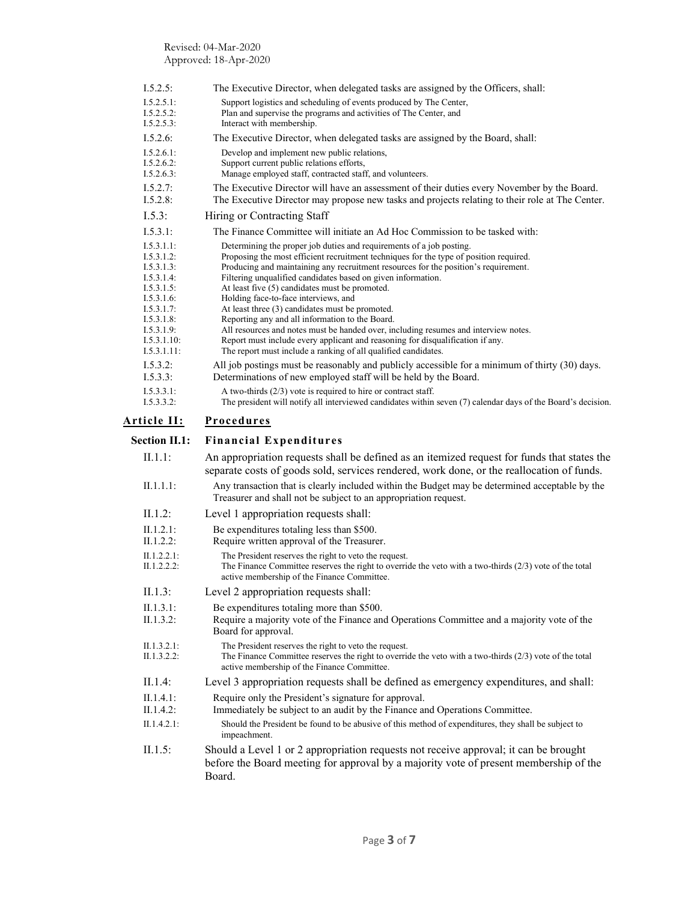| I.5.2.5:                                                                                                                                                 | The Executive Director, when delegated tasks are assigned by the Officers, shall:                                                                                                                                                                                                                                                                                                                                                                                                                                                                                                                                                                                                                                                                                |
|----------------------------------------------------------------------------------------------------------------------------------------------------------|------------------------------------------------------------------------------------------------------------------------------------------------------------------------------------------------------------------------------------------------------------------------------------------------------------------------------------------------------------------------------------------------------------------------------------------------------------------------------------------------------------------------------------------------------------------------------------------------------------------------------------------------------------------------------------------------------------------------------------------------------------------|
| I.5.2.5.1:<br>I.5.2.5.2:<br>I.5.2.5.3:                                                                                                                   | Support logistics and scheduling of events produced by The Center,<br>Plan and supervise the programs and activities of The Center, and<br>Interact with membership.                                                                                                                                                                                                                                                                                                                                                                                                                                                                                                                                                                                             |
| 1.5.2.6                                                                                                                                                  | The Executive Director, when delegated tasks are assigned by the Board, shall:                                                                                                                                                                                                                                                                                                                                                                                                                                                                                                                                                                                                                                                                                   |
| I.5.2.6.1:<br>I.5.2.6.2:<br>I.5.2.6.3:                                                                                                                   | Develop and implement new public relations,<br>Support current public relations efforts,<br>Manage employed staff, contracted staff, and volunteers.                                                                                                                                                                                                                                                                                                                                                                                                                                                                                                                                                                                                             |
| I.5.2.7:<br>I.5.2.8:                                                                                                                                     | The Executive Director will have an assessment of their duties every November by the Board.<br>The Executive Director may propose new tasks and projects relating to their role at The Center.                                                                                                                                                                                                                                                                                                                                                                                                                                                                                                                                                                   |
| I.5.3:                                                                                                                                                   | Hiring or Contracting Staff                                                                                                                                                                                                                                                                                                                                                                                                                                                                                                                                                                                                                                                                                                                                      |
| I.5.3.1:                                                                                                                                                 | The Finance Committee will initiate an Ad Hoc Commission to be tasked with:                                                                                                                                                                                                                                                                                                                                                                                                                                                                                                                                                                                                                                                                                      |
| I.5.3.1.1:<br>I.5.3.1.2:<br>I.5.3.1.3:<br>I.5.3.1.4:<br>I.5.3.1.5:<br>I.5.3.1.6:<br>I.5.3.1.7:<br>I.5.3.1.8:<br>I.5.3.1.9:<br>I.5.3.1.10:<br>I.5.3.1.11: | Determining the proper job duties and requirements of a job posting.<br>Proposing the most efficient recruitment techniques for the type of position required.<br>Producing and maintaining any recruitment resources for the position's requirement.<br>Filtering unqualified candidates based on given information.<br>At least five (5) candidates must be promoted.<br>Holding face-to-face interviews, and<br>At least three (3) candidates must be promoted.<br>Reporting any and all information to the Board.<br>All resources and notes must be handed over, including resumes and interview notes.<br>Report must include every applicant and reasoning for disqualification if any.<br>The report must include a ranking of all qualified candidates. |
| I.5.3.2:<br>I.5.3.3:                                                                                                                                     | All job postings must be reasonably and publicly accessible for a minimum of thirty (30) days.<br>Determinations of new employed staff will be held by the Board.                                                                                                                                                                                                                                                                                                                                                                                                                                                                                                                                                                                                |
| I.5.3.3.1:<br>I.5.3.3.2:                                                                                                                                 | A two-thirds $(2/3)$ vote is required to hire or contract staff.<br>The president will notify all interviewed candidates within seven (7) calendar days of the Board's decision.                                                                                                                                                                                                                                                                                                                                                                                                                                                                                                                                                                                 |
| Article II:                                                                                                                                              | <b>Procedures</b>                                                                                                                                                                                                                                                                                                                                                                                                                                                                                                                                                                                                                                                                                                                                                |
|                                                                                                                                                          |                                                                                                                                                                                                                                                                                                                                                                                                                                                                                                                                                                                                                                                                                                                                                                  |
| <b>Section II.1:</b>                                                                                                                                     | <b>Financial Expenditures</b>                                                                                                                                                                                                                                                                                                                                                                                                                                                                                                                                                                                                                                                                                                                                    |
| $II.1.1$ :                                                                                                                                               | An appropriation requests shall be defined as an itemized request for funds that states the<br>separate costs of goods sold, services rendered, work done, or the reallocation of funds.                                                                                                                                                                                                                                                                                                                                                                                                                                                                                                                                                                         |
| II.1.1.1:                                                                                                                                                | Any transaction that is clearly included within the Budget may be determined acceptable by the<br>Treasurer and shall not be subject to an appropriation request.                                                                                                                                                                                                                                                                                                                                                                                                                                                                                                                                                                                                |
| $II.1.2$ :                                                                                                                                               | Level 1 appropriation requests shall:                                                                                                                                                                                                                                                                                                                                                                                                                                                                                                                                                                                                                                                                                                                            |
| II.1.2.1:<br>II.1.2.2:                                                                                                                                   | Be expenditures totaling less than \$500.<br>Require written approval of the Treasurer.                                                                                                                                                                                                                                                                                                                                                                                                                                                                                                                                                                                                                                                                          |
| II.1.2.2.1:<br>II.1.2.2.2:                                                                                                                               | The President reserves the right to veto the request.<br>The Finance Committee reserves the right to override the veto with a two-thirds $(2/3)$ vote of the total<br>active membership of the Finance Committee.                                                                                                                                                                                                                                                                                                                                                                                                                                                                                                                                                |
| II.1.3:                                                                                                                                                  | Level 2 appropriation requests shall:                                                                                                                                                                                                                                                                                                                                                                                                                                                                                                                                                                                                                                                                                                                            |
| II.1.3.1:<br>II.1.3.2:                                                                                                                                   | Be expenditures totaling more than \$500.<br>Require a majority vote of the Finance and Operations Committee and a majority vote of the<br>Board for approval.                                                                                                                                                                                                                                                                                                                                                                                                                                                                                                                                                                                                   |
| II.1.3.2.1:<br>II.1.3.2.2:                                                                                                                               | The President reserves the right to veto the request.<br>The Finance Committee reserves the right to override the veto with a two-thirds $(2/3)$ vote of the total<br>active membership of the Finance Committee.                                                                                                                                                                                                                                                                                                                                                                                                                                                                                                                                                |
| II.1.4:                                                                                                                                                  | Level 3 appropriation requests shall be defined as emergency expenditures, and shall:                                                                                                                                                                                                                                                                                                                                                                                                                                                                                                                                                                                                                                                                            |
| II.1.4.1:<br>II.1.4.2:                                                                                                                                   | Require only the President's signature for approval.<br>Immediately be subject to an audit by the Finance and Operations Committee.                                                                                                                                                                                                                                                                                                                                                                                                                                                                                                                                                                                                                              |
| II.1.4.2.1:                                                                                                                                              | Should the President be found to be abusive of this method of expenditures, they shall be subject to<br>impeachment.                                                                                                                                                                                                                                                                                                                                                                                                                                                                                                                                                                                                                                             |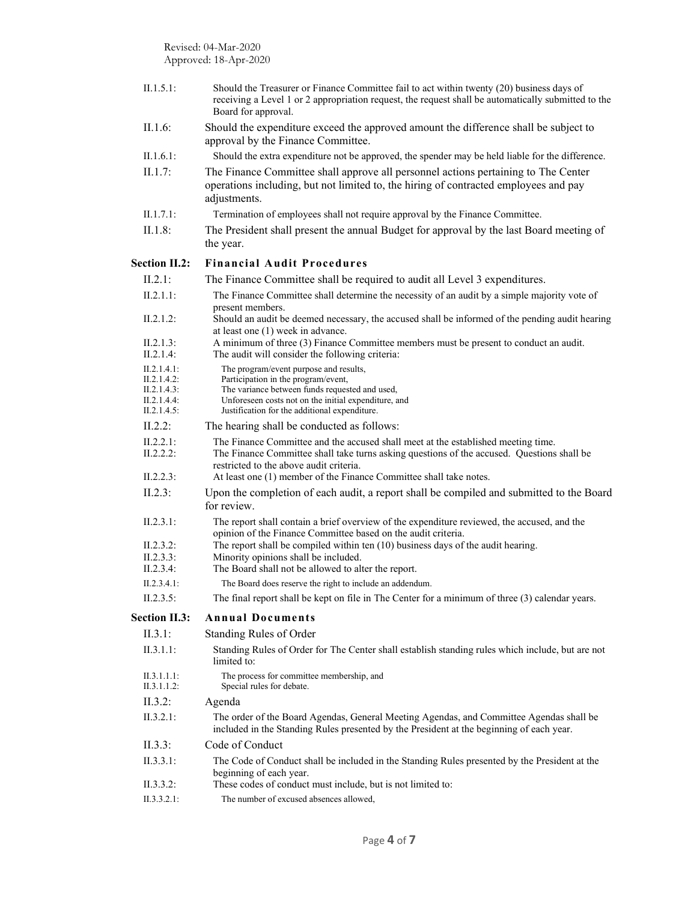| II.1.5.1:                  | Should the Treasurer or Finance Committee fail to act within twenty (20) business days of<br>receiving a Level 1 or 2 appropriation request, the request shall be automatically submitted to the<br>Board for approval. |
|----------------------------|-------------------------------------------------------------------------------------------------------------------------------------------------------------------------------------------------------------------------|
| II.1.6:                    | Should the expenditure exceed the approved amount the difference shall be subject to<br>approval by the Finance Committee.                                                                                              |
| II.1.6.1:                  | Should the extra expenditure not be approved, the spender may be held liable for the difference.                                                                                                                        |
| II.1.7:                    | The Finance Committee shall approve all personnel actions pertaining to The Center<br>operations including, but not limited to, the hiring of contracted employees and pay<br>adjustments.                              |
| II.1.7.1:                  | Termination of employees shall not require approval by the Finance Committee.                                                                                                                                           |
| II.1.8:                    | The President shall present the annual Budget for approval by the last Board meeting of<br>the year.                                                                                                                    |
| <b>Section II.2:</b>       | <b>Financial Audit Procedures</b>                                                                                                                                                                                       |
| II.2.1:                    | The Finance Committee shall be required to audit all Level 3 expenditures.                                                                                                                                              |
| II.2.1.1:                  | The Finance Committee shall determine the necessity of an audit by a simple majority vote of                                                                                                                            |
| II.2.1.2:                  | present members.<br>Should an audit be deemed necessary, the accused shall be informed of the pending audit hearing                                                                                                     |
| II.2.1.3:                  | at least one (1) week in advance.<br>A minimum of three (3) Finance Committee members must be present to conduct an audit.                                                                                              |
| II.2.1.4:                  | The audit will consider the following criteria:                                                                                                                                                                         |
| II.2.1.4.1:                | The program/event purpose and results,                                                                                                                                                                                  |
| II.2.1.4.2:                | Participation in the program/event,                                                                                                                                                                                     |
| II.2.1.4.3:<br>II.2.1.4.4: | The variance between funds requested and used,<br>Unforeseen costs not on the initial expenditure, and                                                                                                                  |
| II.2.1.4.5:                | Justification for the additional expenditure.                                                                                                                                                                           |
| $II.2.2$ :                 | The hearing shall be conducted as follows:                                                                                                                                                                              |
| II.2.2.1:                  | The Finance Committee and the accused shall meet at the established meeting time.                                                                                                                                       |
| II.2.2.2:                  | The Finance Committee shall take turns asking questions of the accused. Questions shall be<br>restricted to the above audit criteria.                                                                                   |
| II.2.2.3:                  | At least one (1) member of the Finance Committee shall take notes.                                                                                                                                                      |
| II.2.3:                    | Upon the completion of each audit, a report shall be compiled and submitted to the Board<br>for review.                                                                                                                 |
| II.2.3.1:                  | The report shall contain a brief overview of the expenditure reviewed, the accused, and the                                                                                                                             |
| II.2.3.2:                  | opinion of the Finance Committee based on the audit criteria.<br>The report shall be compiled within ten $(10)$ business days of the audit hearing.                                                                     |
| II.2.3.3:                  | Minority opinions shall be included.                                                                                                                                                                                    |
| II.2.3.4:                  | The Board shall not be allowed to alter the report.                                                                                                                                                                     |
| II.2.3.4.1:                | The Board does reserve the right to include an addendum.                                                                                                                                                                |
| II.2.3.5:                  | The final report shall be kept on file in The Center for a minimum of three (3) calendar years.                                                                                                                         |
| <b>Section II.3:</b>       | <b>Annual Documents</b>                                                                                                                                                                                                 |
| II.3.1:                    | Standing Rules of Order                                                                                                                                                                                                 |
| II.3.1.1:                  | Standing Rules of Order for The Center shall establish standing rules which include, but are not<br>limited to:                                                                                                         |
| II.3.1.1.1:<br>II.3.1.1.2: | The process for committee membership, and<br>Special rules for debate.                                                                                                                                                  |
| II.3.2:                    | Agenda                                                                                                                                                                                                                  |
| II.3.2.1:                  | The order of the Board Agendas, General Meeting Agendas, and Committee Agendas shall be<br>included in the Standing Rules presented by the President at the beginning of each year.                                     |
| II.3.3:                    | Code of Conduct                                                                                                                                                                                                         |
| II.3.3.1:                  | The Code of Conduct shall be included in the Standing Rules presented by the President at the<br>beginning of each year.                                                                                                |
| II.3.3.2:                  | These codes of conduct must include, but is not limited to:                                                                                                                                                             |
| II.3.3.2.1:                | The number of excused absences allowed,                                                                                                                                                                                 |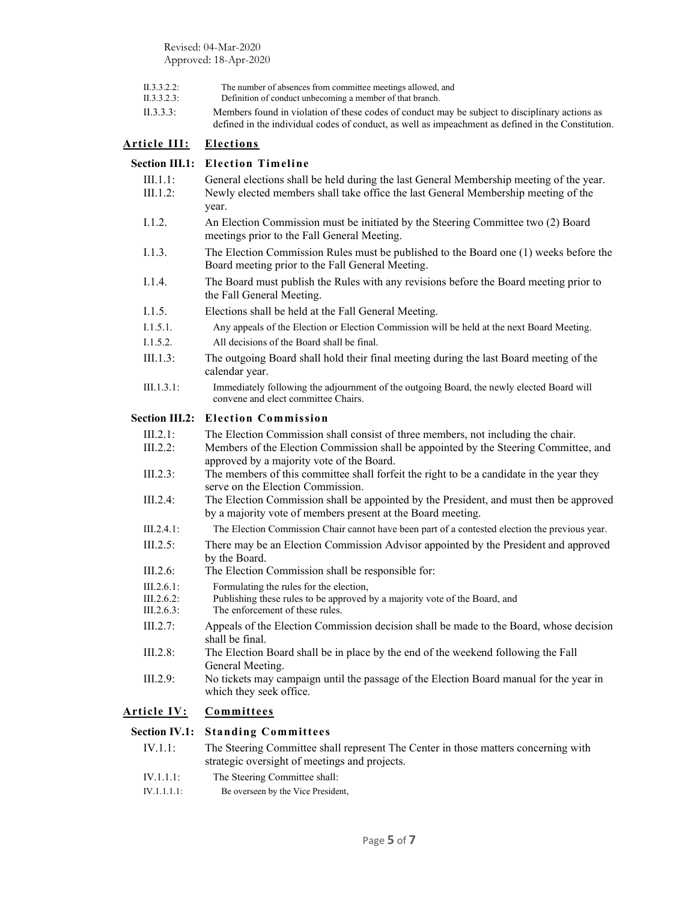Revised: 04-Mar-2020 Approved: 18-Apr-2020

| II.3.3.2.2: | The number of absences from committee meetings allowed, and |
|-------------|-------------------------------------------------------------|
|-------------|-------------------------------------------------------------|

- II.3.3.2.3: Definition of conduct unbecoming a member of that branch.
- II.3.3.3: Members found in violation of these codes of conduct may be subject to disciplinary actions as defined in the individual codes of conduct, as well as impeachment as defined in the Constitution.

## **Article III: Elections**

|                          | <b>Section III.1: Election Timeline</b>                                                                                                                                                |
|--------------------------|----------------------------------------------------------------------------------------------------------------------------------------------------------------------------------------|
| $III.1.1$ :<br>III.1.2:  | General elections shall be held during the last General Membership meeting of the year.<br>Newly elected members shall take office the last General Membership meeting of the<br>year. |
| 1.1.2.                   | An Election Commission must be initiated by the Steering Committee two (2) Board<br>meetings prior to the Fall General Meeting.                                                        |
| 1.1.3.                   | The Election Commission Rules must be published to the Board one (1) weeks before the<br>Board meeting prior to the Fall General Meeting.                                              |
| I.1.4.                   | The Board must publish the Rules with any revisions before the Board meeting prior to<br>the Fall General Meeting.                                                                     |
| 1.1.5.                   | Elections shall be held at the Fall General Meeting.                                                                                                                                   |
| I.1.5.1.                 | Any appeals of the Election or Election Commission will be held at the next Board Meeting.                                                                                             |
| I.1.5.2.                 | All decisions of the Board shall be final.                                                                                                                                             |
| III.1.3:                 | The outgoing Board shall hold their final meeting during the last Board meeting of the<br>calendar year.                                                                               |
| III.1.3.1:               | Immediately following the adjournment of the outgoing Board, the newly elected Board will<br>convene and elect committee Chairs.                                                       |
|                          | Section III.2: Election Commission                                                                                                                                                     |
| III.2.1:                 | The Election Commission shall consist of three members, not including the chair.                                                                                                       |
| $III.2.2$ :              | Members of the Election Commission shall be appointed by the Steering Committee, and<br>approved by a majority vote of the Board.                                                      |
| III.2.3:                 | The members of this committee shall forfeit the right to be a candidate in the year they<br>serve on the Election Commission.                                                          |
| $III.2.4$ :              | The Election Commission shall be appointed by the President, and must then be approved<br>by a majority vote of members present at the Board meeting.                                  |
| III.2.4.1:               | The Election Commission Chair cannot have been part of a contested election the previous year.                                                                                         |
| III.2.5:                 | There may be an Election Commission Advisor appointed by the President and approved<br>by the Board.                                                                                   |
| III.2.6:                 | The Election Commission shall be responsible for:                                                                                                                                      |
| III.2.6.1:               | Formulating the rules for the election,                                                                                                                                                |
| III.2.6.2:<br>III.2.6.3: | Publishing these rules to be approved by a majority vote of the Board, and<br>The enforcement of these rules.                                                                          |
| III.2.7:                 | Appeals of the Election Commission decision shall be made to the Board, whose decision                                                                                                 |
|                          | shall be final.                                                                                                                                                                        |
| III.2.8:                 | The Election Board shall be in place by the end of the weekend following the Fall<br>General Meeting.                                                                                  |
| III.2.9:                 | No tickets may campaign until the passage of the Election Board manual for the year in<br>which they seek office.                                                                      |
| <u> Article IV:</u>      | Committees                                                                                                                                                                             |
| <b>Section IV.1:</b>     | <b>Standing Committees</b>                                                                                                                                                             |
| IV.1.1:                  | The Steering Committee shall represent The Center in those matters concerning with                                                                                                     |

strategic oversight of meetings and projects.

- IV.1.1.1: The Steering Committee shall:
- IV.1.1.1.1: Be overseen by the Vice President,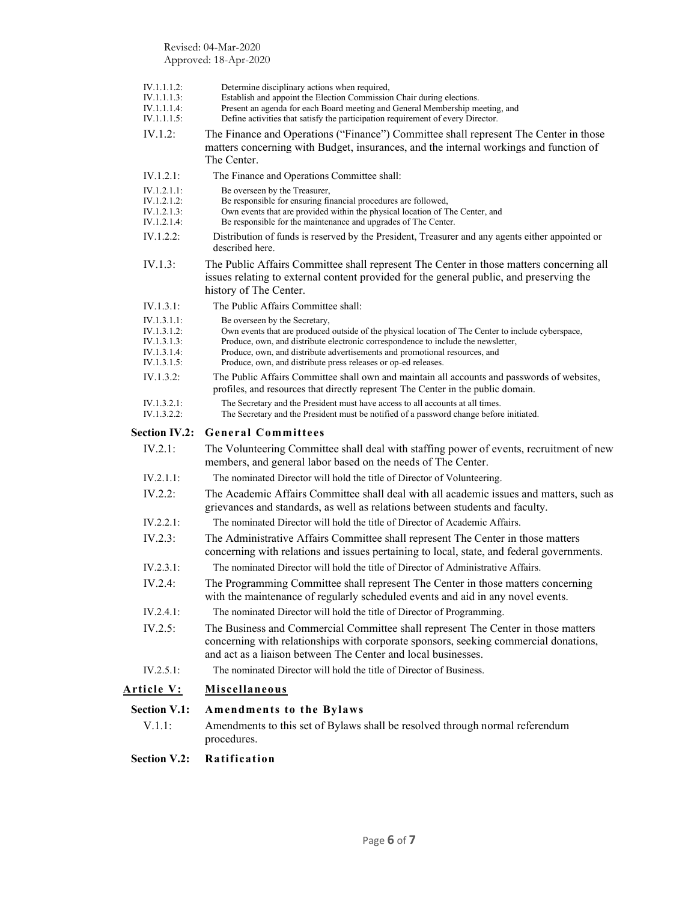Revised: 04-Mar-2020 Approved: 18-Apr-2020

| <b>Section V.2:</b>                                      | Ratification                                                                                                                                                                                                                                                                                                                            |
|----------------------------------------------------------|-----------------------------------------------------------------------------------------------------------------------------------------------------------------------------------------------------------------------------------------------------------------------------------------------------------------------------------------|
|                                                          | procedures.                                                                                                                                                                                                                                                                                                                             |
| <b>Section V.1:</b><br>V.1.1:                            | Amendments to the Bylaws<br>Amendments to this set of Bylaws shall be resolved through normal referendum                                                                                                                                                                                                                                |
| <u> Article V:</u>                                       | <b>Miscellaneous</b>                                                                                                                                                                                                                                                                                                                    |
|                                                          |                                                                                                                                                                                                                                                                                                                                         |
| IV.2.5.1:                                                | The nominated Director will hold the title of Director of Business.                                                                                                                                                                                                                                                                     |
| IV.2.5:                                                  | The Business and Commercial Committee shall represent The Center in those matters<br>concerning with relationships with corporate sponsors, seeking commercial donations,<br>and act as a liaison between The Center and local businesses.                                                                                              |
| IV.2.4.1:                                                | The nominated Director will hold the title of Director of Programming.                                                                                                                                                                                                                                                                  |
| IV.2.4:                                                  | The Programming Committee shall represent The Center in those matters concerning<br>with the maintenance of regularly scheduled events and aid in any novel events.                                                                                                                                                                     |
| IV.2.3.1:                                                | The nominated Director will hold the title of Director of Administrative Affairs.                                                                                                                                                                                                                                                       |
| IV.2.3:                                                  | The Administrative Affairs Committee shall represent The Center in those matters<br>concerning with relations and issues pertaining to local, state, and federal governments.                                                                                                                                                           |
| IV.2.2.1:                                                | The nominated Director will hold the title of Director of Academic Affairs.                                                                                                                                                                                                                                                             |
| $IV.2.2$ :                                               | The Academic Affairs Committee shall deal with all academic issues and matters, such as<br>grievances and standards, as well as relations between students and faculty.                                                                                                                                                                 |
| IV.2.1.1:                                                | The nominated Director will hold the title of Director of Volunteering.                                                                                                                                                                                                                                                                 |
| IV.2.1:                                                  | The Volunteering Committee shall deal with staffing power of events, recruitment of new<br>members, and general labor based on the needs of The Center.                                                                                                                                                                                 |
| <b>Section IV.2:</b>                                     | <b>General Committees</b>                                                                                                                                                                                                                                                                                                               |
| IV.1.3.2.1:<br>IV.1.3.2.2:                               | The Secretary and the President must have access to all accounts at all times.<br>The Secretary and the President must be notified of a password change before initiated.                                                                                                                                                               |
| IV.1.3.2:                                                | The Public Affairs Committee shall own and maintain all accounts and passwords of websites,<br>profiles, and resources that directly represent The Center in the public domain.                                                                                                                                                         |
| IV.1.3.1.2:<br>IV.1.3.1.3:<br>IV.1.3.1.4:<br>IV.1.3.1.5: | Own events that are produced outside of the physical location of The Center to include cyberspace,<br>Produce, own, and distribute electronic correspondence to include the newsletter,<br>Produce, own, and distribute advertisements and promotional resources, and<br>Produce, own, and distribute press releases or op-ed releases. |
| IV.1.3.1.1:                                              | Be overseen by the Secretary,                                                                                                                                                                                                                                                                                                           |
| IV.1.3.1:                                                | history of The Center.<br>The Public Affairs Committee shall:                                                                                                                                                                                                                                                                           |
|                                                          | issues relating to external content provided for the general public, and preserving the                                                                                                                                                                                                                                                 |
| IV.1.3:                                                  | The Public Affairs Committee shall represent The Center in those matters concerning all                                                                                                                                                                                                                                                 |
| IV.1.2.2:                                                | Distribution of funds is reserved by the President, Treasurer and any agents either appointed or<br>described here.                                                                                                                                                                                                                     |
| IV.1.2.1.1:<br>IV.1.2.1.2:<br>IV.1.2.1.3:<br>IV.1.2.1.4: | Be overseen by the Treasurer,<br>Be responsible for ensuring financial procedures are followed,<br>Own events that are provided within the physical location of The Center, and<br>Be responsible for the maintenance and upgrades of The Center.                                                                                       |
| IV.1.2.1:                                                | The Finance and Operations Committee shall:                                                                                                                                                                                                                                                                                             |
|                                                          | matters concerning with Budget, insurances, and the internal workings and function of<br>The Center.                                                                                                                                                                                                                                    |
| IV.1.1.1.5:<br>IV.1.2:                                   | Define activities that satisfy the participation requirement of every Director.<br>The Finance and Operations ("Finance") Committee shall represent The Center in those                                                                                                                                                                 |
| IV.1.1.1.2:<br>IV.1.1.1.3:<br>IV.1.1.1.4:                | Determine disciplinary actions when required,<br>Establish and appoint the Election Commission Chair during elections.<br>Present an agenda for each Board meeting and General Membership meeting, and                                                                                                                                  |